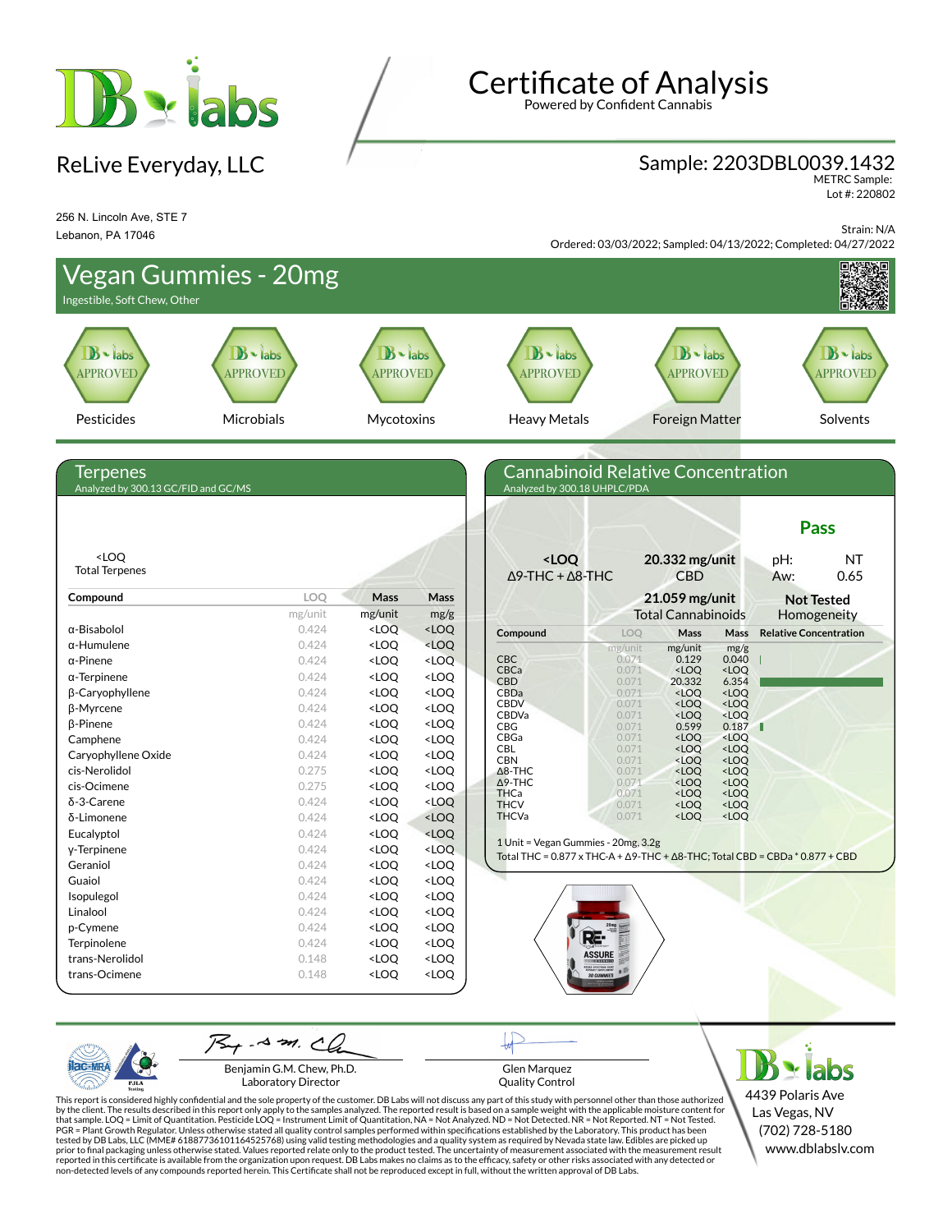

# Certificate of Analysis

Powered by Confident Cannabis

### ReLive Everyday, LLC **Sample: 2203DBL0039.1432**

METRC Sample: Lot #: 220802

256 N. Lincoln Ave, STE 7 Lebanon, PA 17046

Strain: N/A Ordered: 03/03/2022; Sampled: 04/13/2022; Completed: 04/27/2022





Benjamin G.M. Chew, Ph.D. Laboratory Director

Glen Marquez Quality Control

 $\blacktriangleright$  labs 4439 Polaris Ave Las Vegas, NV (702) 728-5180 www.dblabslv.com

This report is considered highly confidential and the sole property of the customer. DB Labs will not discuss any part of this study with personnel other than those authorized<br>by the client. The results described in this r tested by DB Labs, LLC (MME# 61887736101164525768) using valid testing methodologies and a quality system as required by Nevada state law. Edibles are picked up<br>prior to final packaging unless otherwise stated. Values repo reported in this certificate is available from the organization upon request. DB Labs makes no claims as to the efficacy, safety or other risks associated with any detected or<br>non-detected levels of any compounds reported